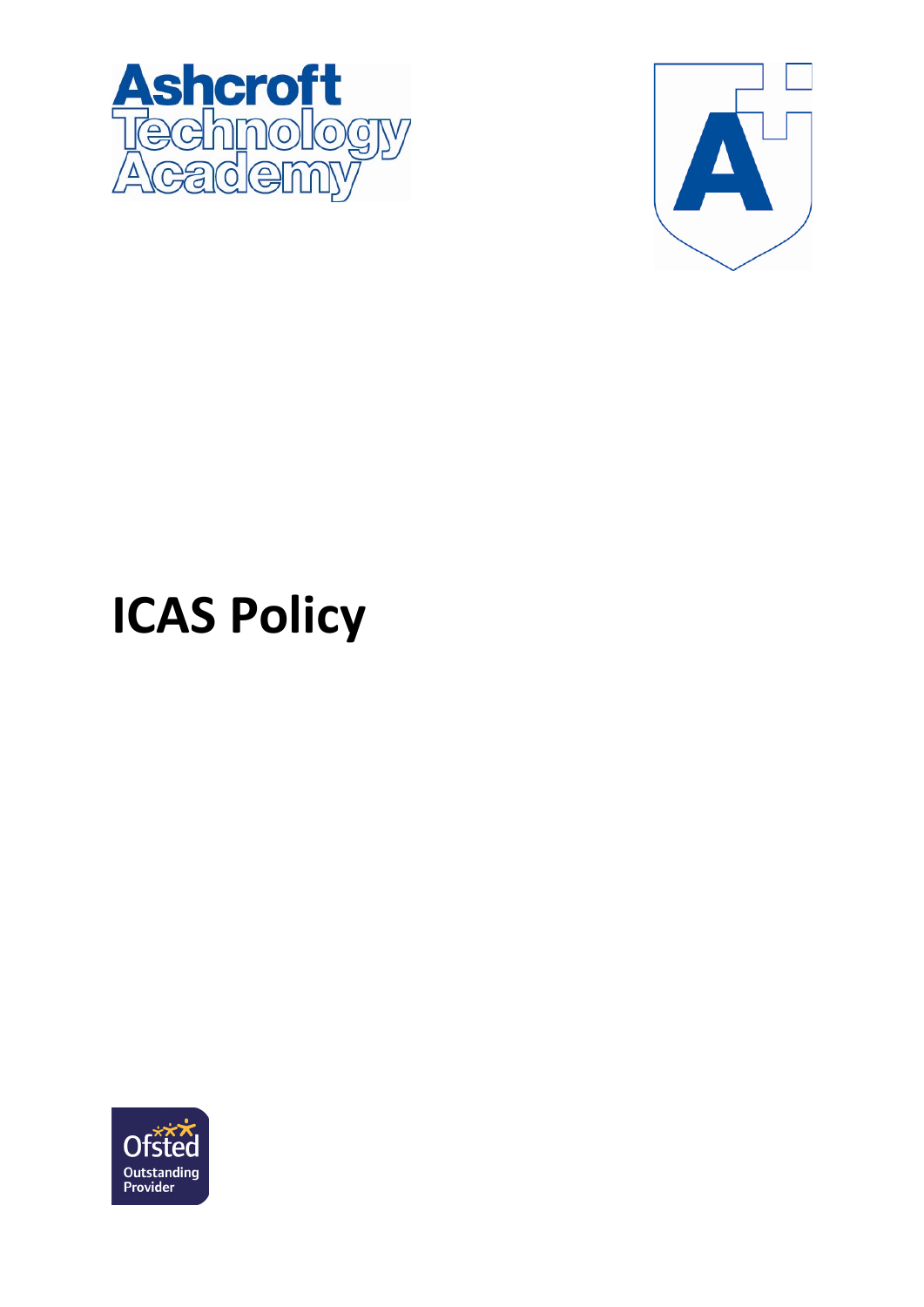



## **ICAS Policy**

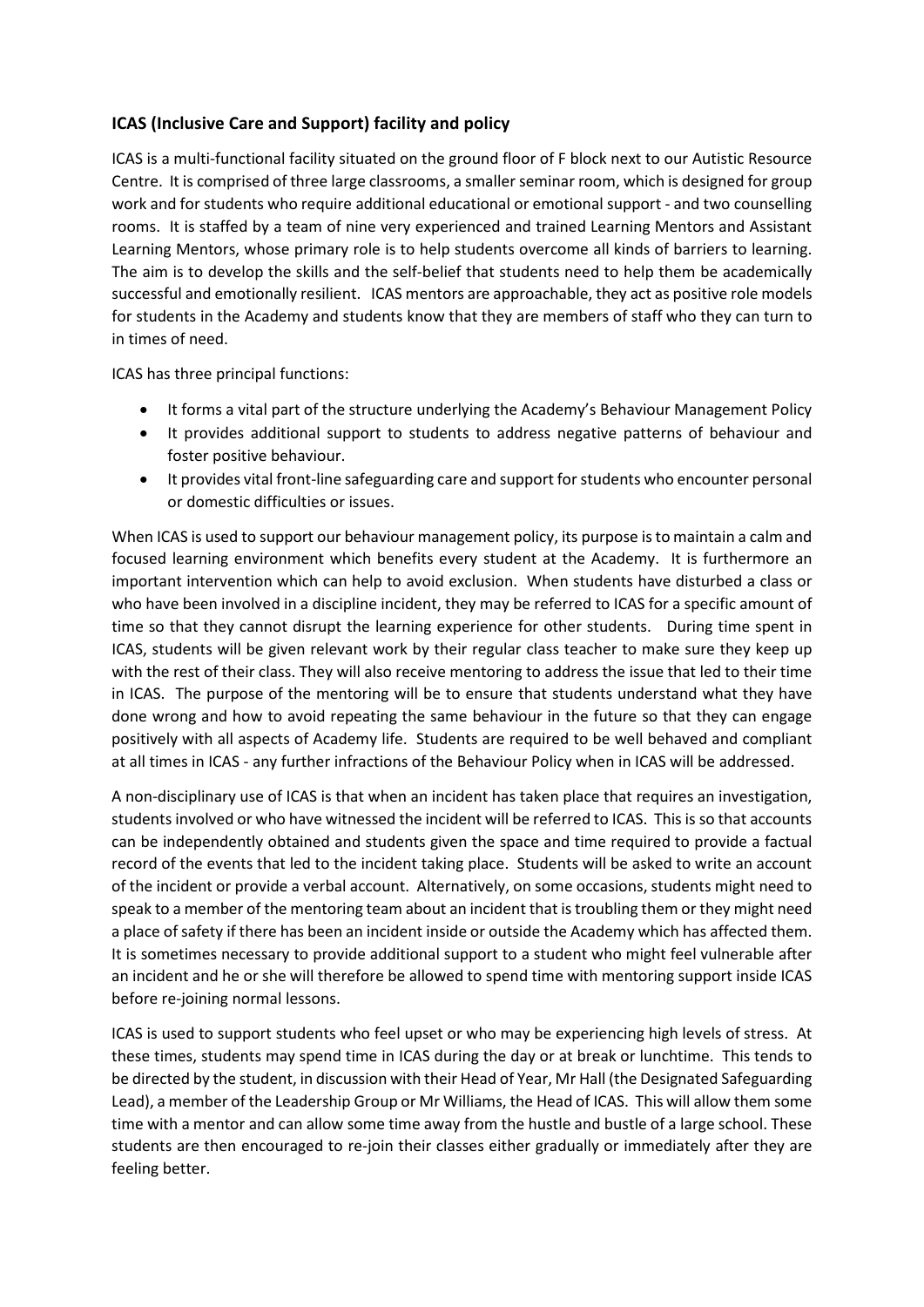## **ICAS (Inclusive Care and Support) facility and policy**

ICAS is a multi-functional facility situated on the ground floor of F block next to our Autistic Resource Centre. It is comprised of three large classrooms, a smaller seminar room, which is designed for group work and for students who require additional educational or emotional support - and two counselling rooms. It is staffed by a team of nine very experienced and trained Learning Mentors and Assistant Learning Mentors, whose primary role is to help students overcome all kinds of barriers to learning. The aim is to develop the skills and the self-belief that students need to help them be academically successful and emotionally resilient. ICAS mentors are approachable, they act as positive role models for students in the Academy and students know that they are members of staff who they can turn to in times of need.

ICAS has three principal functions:

- It forms a vital part of the structure underlying the Academy's Behaviour Management Policy
- It provides additional support to students to address negative patterns of behaviour and foster positive behaviour.
- It provides vital front-line safeguarding care and support forstudents who encounter personal or domestic difficulties or issues.

When ICAS is used to support our behaviour management policy, its purpose is to maintain a calm and focused learning environment which benefits every student at the Academy. It is furthermore an important intervention which can help to avoid exclusion. When students have disturbed a class or who have been involved in a discipline incident, they may be referred to ICAS for a specific amount of time so that they cannot disrupt the learning experience for other students. During time spent in ICAS, students will be given relevant work by their regular class teacher to make sure they keep up with the rest of their class. They will also receive mentoring to address the issue that led to their time in ICAS. The purpose of the mentoring will be to ensure that students understand what they have done wrong and how to avoid repeating the same behaviour in the future so that they can engage positively with all aspects of Academy life. Students are required to be well behaved and compliant at all times in ICAS - any further infractions of the Behaviour Policy when in ICAS will be addressed.

A non-disciplinary use of ICAS is that when an incident has taken place that requires an investigation, students involved or who have witnessed the incident will be referred to ICAS. This is so that accounts can be independently obtained and students given the space and time required to provide a factual record of the events that led to the incident taking place. Students will be asked to write an account of the incident or provide a verbal account. Alternatively, on some occasions, students might need to speak to a member of the mentoring team about an incident that is troubling them or they might need a place of safety if there has been an incident inside or outside the Academy which has affected them. It is sometimes necessary to provide additional support to a student who might feel vulnerable after an incident and he or she will therefore be allowed to spend time with mentoring support inside ICAS before re-joining normal lessons.

ICAS is used to support students who feel upset or who may be experiencing high levels of stress. At these times, students may spend time in ICAS during the day or at break or lunchtime. This tends to be directed by the student, in discussion with their Head of Year, Mr Hall (the Designated Safeguarding Lead), a member of the Leadership Group or Mr Williams, the Head of ICAS. This will allow them some time with a mentor and can allow some time away from the hustle and bustle of a large school. These students are then encouraged to re-join their classes either gradually or immediately after they are feeling better.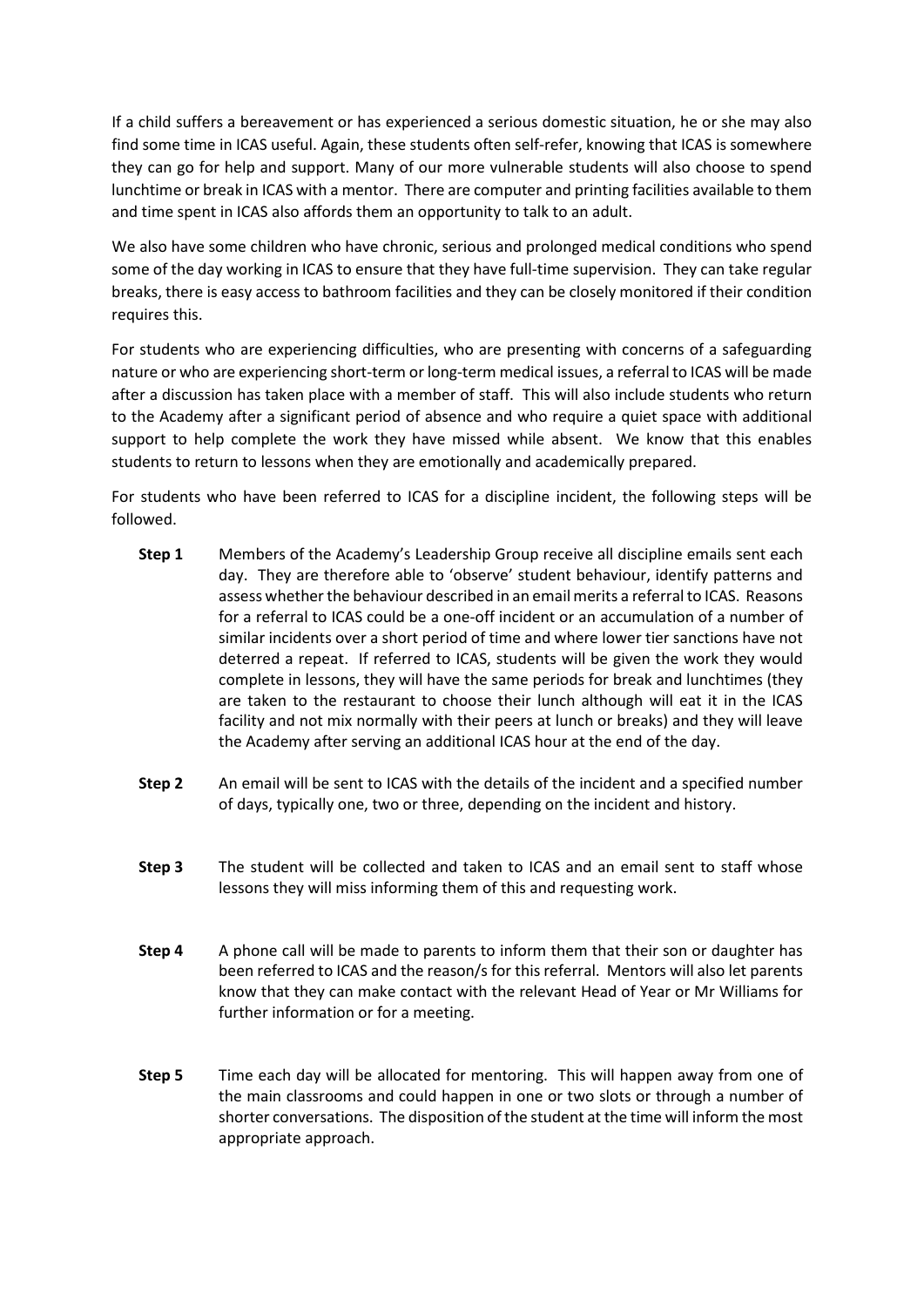If a child suffers a bereavement or has experienced a serious domestic situation, he or she may also find some time in ICAS useful. Again, these students often self-refer, knowing that ICAS is somewhere they can go for help and support. Many of our more vulnerable students will also choose to spend lunchtime or break in ICAS with a mentor. There are computer and printing facilities available to them and time spent in ICAS also affords them an opportunity to talk to an adult.

We also have some children who have chronic, serious and prolonged medical conditions who spend some of the day working in ICAS to ensure that they have full-time supervision. They can take regular breaks, there is easy access to bathroom facilities and they can be closely monitored if their condition requires this.

For students who are experiencing difficulties, who are presenting with concerns of a safeguarding nature or who are experiencing short-term or long-term medical issues, a referral to ICAS will be made after a discussion has taken place with a member of staff. This will also include students who return to the Academy after a significant period of absence and who require a quiet space with additional support to help complete the work they have missed while absent. We know that this enables students to return to lessons when they are emotionally and academically prepared.

For students who have been referred to ICAS for a discipline incident, the following steps will be followed.

- **Step 1** Members of the Academy's Leadership Group receive all discipline emails sent each day. They are therefore able to 'observe' student behaviour, identify patterns and assess whether the behaviour described in an email merits a referral to ICAS. Reasons for a referral to ICAS could be a one-off incident or an accumulation of a number of similar incidents over a short period of time and where lower tier sanctions have not deterred a repeat. If referred to ICAS, students will be given the work they would complete in lessons, they will have the same periods for break and lunchtimes (they are taken to the restaurant to choose their lunch although will eat it in the ICAS facility and not mix normally with their peers at lunch or breaks) and they will leave the Academy after serving an additional ICAS hour at the end of the day.
- **Step 2** An email will be sent to ICAS with the details of the incident and a specified number of days, typically one, two or three, depending on the incident and history.
- **Step 3** The student will be collected and taken to ICAS and an email sent to staff whose lessons they will miss informing them of this and requesting work.
- **Step 4** A phone call will be made to parents to inform them that their son or daughter has been referred to ICAS and the reason/s for this referral. Mentors will also let parents know that they can make contact with the relevant Head of Year or Mr Williams for further information or for a meeting.
- **Step 5** Time each day will be allocated for mentoring. This will happen away from one of the main classrooms and could happen in one or two slots or through a number of shorter conversations. The disposition of the student at the time will inform the most appropriate approach.